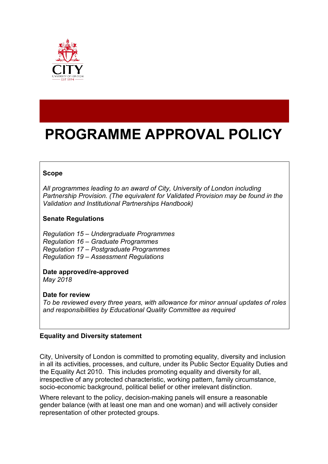

# **PROGRAMME APPROVAL POLICY**

# **Scope**

*All programmes leading to an award of City, University of London including Partnership Provision. (The equivalent for Validated Provision may be found in the Validation and Institutional Partnerships Handbook)*

## **Senate Regulations**

*Regulation 15 – Undergraduate Programmes Regulation 16 – Graduate Programmes Regulation 17 – Postgraduate Programmes Regulation 19 – Assessment Regulations*

**Date approved/re-approved** *May 2018*

**Date for review** 

*To be reviewed every three years, with allowance for minor annual updates of roles and responsibilities by Educational Quality Committee as required*

## **Equality and Diversity statement**

City, University of London is committed to promoting equality, diversity and inclusion in all its activities, processes, and culture, under its Public Sector Equality Duties and the Equality Act 2010. This includes promoting equality and diversity for all, irrespective of any protected characteristic, working pattern, family circumstance, socio-economic background, political belief or other irrelevant distinction.

Where relevant to the policy, decision-making panels will ensure a reasonable gender balance (with at least one man and one woman) and will actively consider representation of other protected groups.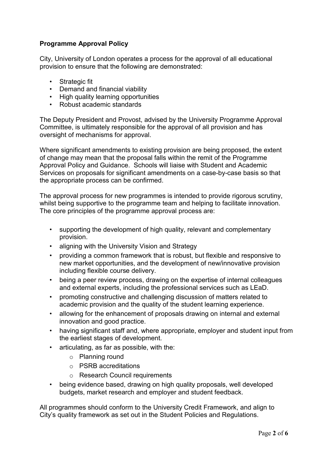# **Programme Approval Policy**

City, University of London operates a process for the approval of all educational provision to ensure that the following are demonstrated:

- Strategic fit
- Demand and financial viability
- High quality learning opportunities
- Robust academic standards

The Deputy President and Provost, advised by the University Programme Approval Committee, is ultimately responsible for the approval of all provision and has oversight of mechanisms for approval.

Where significant amendments to existing provision are being proposed, the extent of change may mean that the proposal falls within the remit of the Programme Approval Policy and Guidance. Schools will liaise with Student and Academic Services on proposals for significant amendments on a case-by-case basis so that the appropriate process can be confirmed.

The approval process for new programmes is intended to provide rigorous scrutiny, whilst being supportive to the programme team and helping to facilitate innovation. The core principles of the programme approval process are:

- supporting the development of high quality, relevant and complementary provision.
- aligning with the University Vision and Strategy
- providing a common framework that is robust, but flexible and responsive to new market opportunities, and the development of new/innovative provision including flexible course delivery.
- being a peer review process, drawing on the expertise of internal colleagues and external experts, including the professional services such as LEaD.
- promoting constructive and challenging discussion of matters related to academic provision and the quality of the student learning experience.
- allowing for the enhancement of proposals drawing on internal and external innovation and good practice.
- having significant staff and, where appropriate, employer and student input from the earliest stages of development.
- articulating, as far as possible, with the:
	- o Planning round
	- o PSRB accreditations
	- o Research Council requirements
- being evidence based, drawing on high quality proposals, well developed budgets, market research and employer and student feedback.

All programmes should conform to the University Credit Framework, and align to City's quality framework as set out in the Student Policies and Regulations.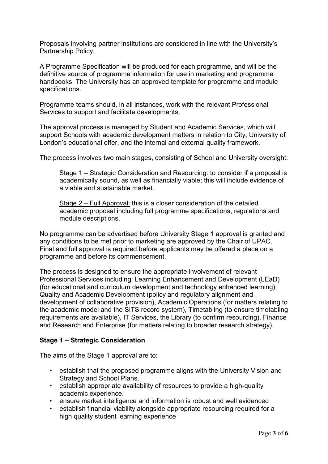Proposals involving partner institutions are considered in line with the University's Partnership Policy.

A Programme Specification will be produced for each programme, and will be the definitive source of programme information for use in marketing and programme handbooks. The University has an approved template for programme and module specifications.

Programme teams should, in all instances, work with the relevant Professional Services to support and facilitate developments.

The approval process is managed by Student and Academic Services, which will support Schools with academic development matters in relation to City, University of London's educational offer, and the internal and external quality framework.

The process involves two main stages, consisting of School and University oversight:

Stage 1 – Strategic Consideration and Resourcing: to consider if a proposal is academically sound, as well as financially viable; this will include evidence of a viable and sustainable market.

Stage 2 – Full Approval: this is a closer consideration of the detailed academic proposal including full programme specifications, regulations and module descriptions.

No programme can be advertised before University Stage 1 approval is granted and any conditions to be met prior to marketing are approved by the Chair of UPAC. Final and full approval is required before applicants may be offered a place on a programme and before its commencement.

The process is designed to ensure the appropriate involvement of relevant Professional Services including: Learning Enhancement and Development (LEaD) (for educational and curriculum development and technology enhanced learning), Quality and Academic Development (policy and regulatory alignment and development of collaborative provision), Academic Operations (for matters relating to the academic model and the SITS record system), Timetabling (to ensure timetabling requirements are available), IT Services, the Library (to confirm resourcing), Finance and Research and Enterprise (for matters relating to broader research strategy).

## **Stage 1 – Strategic Consideration**

The aims of the Stage 1 approval are to:

- establish that the proposed programme aligns with the University Vision and Strategy and School Plans.
- establish appropriate availability of resources to provide a high-quality academic experience.
- ensure market intelligence and information is robust and well evidenced
- establish financial viability alongside appropriate resourcing required for a high quality student learning experience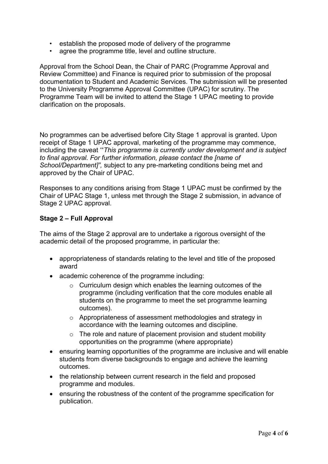- establish the proposed mode of delivery of the programme
- agree the programme title, level and outline structure.

Approval from the School Dean, the Chair of PARC (Programme Approval and Review Committee) and Finance is required prior to submission of the proposal documentation to Student and Academic Services. The submission will be presented to the University Programme Approval Committee (UPAC) for scrutiny. The Programme Team will be invited to attend the Stage 1 UPAC meeting to provide clarification on the proposals.

No programmes can be advertised before City Stage 1 approval is granted. Upon receipt of Stage 1 UPAC approval, marketing of the programme may commence, including the caveat '"*This programme is currently under development and is subject to final approval. For further information, please contact the [name of School/Department]",* subject to any pre-marketing conditions being met and approved by the Chair of UPAC.

Responses to any conditions arising from Stage 1 UPAC must be confirmed by the Chair of UPAC Stage 1, unless met through the Stage 2 submission, in advance of Stage 2 UPAC approval.

# **Stage 2 – Full Approval**

The aims of the Stage 2 approval are to undertake a rigorous oversight of the academic detail of the proposed programme, in particular the:

- appropriateness of standards relating to the level and title of the proposed award
- academic coherence of the programme including:
	- o Curriculum design which enables the learning outcomes of the programme (including verification that the core modules enable all students on the programme to meet the set programme learning outcomes).
	- o Appropriateness of assessment methodologies and strategy in accordance with the learning outcomes and discipline.
	- $\circ$  The role and nature of placement provision and student mobility opportunities on the programme (where appropriate)
- ensuring learning opportunities of the programme are inclusive and will enable students from diverse backgrounds to engage and achieve the learning outcomes.
- the relationship between current research in the field and proposed programme and modules.
- ensuring the robustness of the content of the programme specification for publication.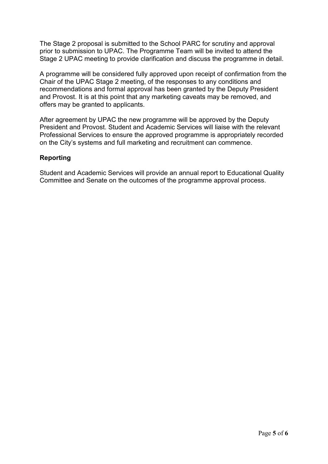The Stage 2 proposal is submitted to the School PARC for scrutiny and approval prior to submission to UPAC. The Programme Team will be invited to attend the Stage 2 UPAC meeting to provide clarification and discuss the programme in detail.

A programme will be considered fully approved upon receipt of confirmation from the Chair of the UPAC Stage 2 meeting, of the responses to any conditions and recommendations and formal approval has been granted by the Deputy President and Provost. It is at this point that any marketing caveats may be removed, and offers may be granted to applicants.

After agreement by UPAC the new programme will be approved by the Deputy President and Provost. Student and Academic Services will liaise with the relevant Professional Services to ensure the approved programme is appropriately recorded on the City's systems and full marketing and recruitment can commence.

# **Reporting**

Student and Academic Services will provide an annual report to Educational Quality Committee and Senate on the outcomes of the programme approval process.